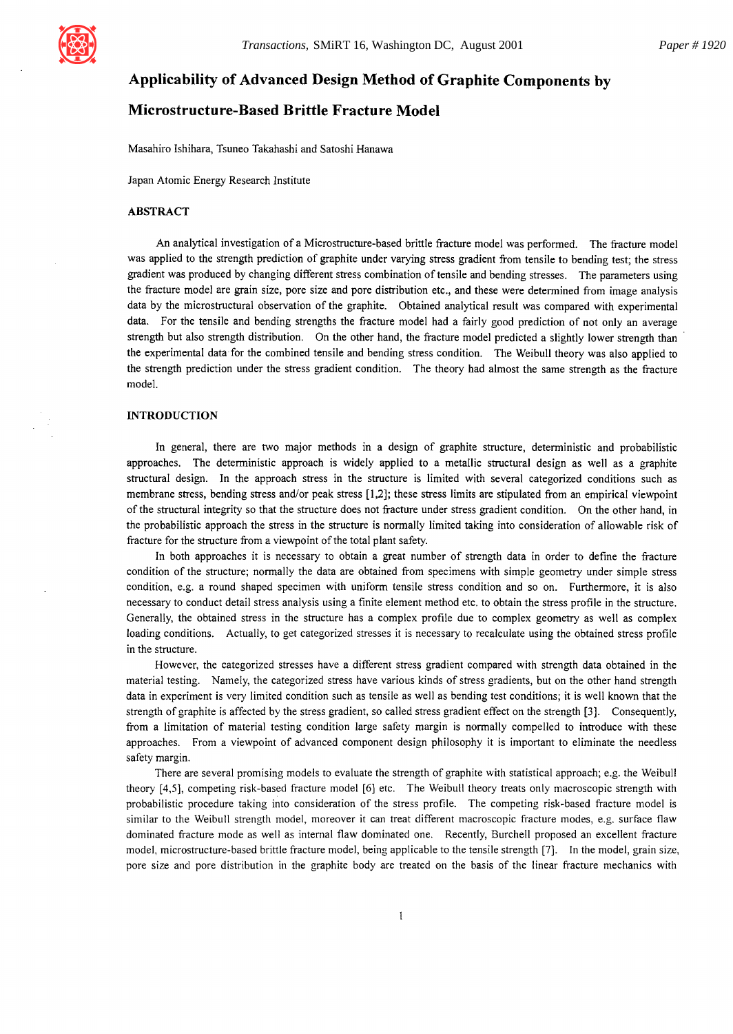

# **Applicability of Advanced Design Method of Graphite Components by**

# **Microstructure-Based Brittle Fracture Model**

Masahiro Ishihara, Tsuneo Takahashi and Satoshi Hanawa

Japan Atomic Energy Research Institute

## ABSTRACT

An analytical investigation of a Microstructure-based brittle fracture model was performed. The fracture model was applied to the strength prediction of graphite under varying stress gradient from tensile to bending test; the **stress**  gradient was produced by changing different stress combination of tensile and bending stresses. The parameters using the fracture model are grain size, pore size and pore distribution etc., and these were determined from image analysis data by the microstructural observation of the graphite. Obtained analytical result was compared with experimental data. For the tensile and bending strengths the fracture model had a fairly good prediction of not only an average strength but also strength distribution. On the other hand, the fracture model predicted a slightly lower strength than the experimental data for the combined tensile and bending stress condition. The Weibull theory was also applied to the strength prediction under the stress gradient condition. The theory had almost the same strength as the fracture model.

## INTRODUCTION

In general, there are two major methods in a design of graphite structure, deterministic and probabilistic approaches. The deterministic approach is widely applied to a metallic structural design as well as a graphite structural design. In the approach stress in the structure is limited with several categorized conditions such as membrane stress, bending stress and/or peak stress [ 1,2]; these stress limits are stipulated from an empirical viewpoint of the structural integrity so that the structure does not fracture under stress gradient condition. On the other hand, in the probabilistic approach the stress in the structure is normally limited taking into consideration of allowable risk of fracture for the structure from a viewpoint of the total plant safety.

In both approaches it is necessary to obtain a great number of strength data in order to define the fracture condition of the structure; normally the data are obtained from specimens with simple geometry under simple stress condition, e.g. a round shaped specimen with uniform tensile stress condition and so on. Furthermore, it is also necessary to conduct detail stress analysis using a finite element method etc. to obtain the stress profile in the structure. Generally, the obtained stress in the structure has a complex profile due to complex geometry as well as complex loading conditions. Actually, to get categorized stresses it is necessary to recalculate using the obtained stress profile in the structure.

However, the categorized stresses have a different stress gradient compared with strength data obtained in the material testing. Namely, the categorized stress have various kinds of stress gradients, but on the other hand strength data in experiment is very limited condition such as tensile as well as bending test conditions; it is well known that the strength of graphite is affected by the stress gradient, so called stress gradient effect on the strength [3]. Consequently, from a limitation of material testing condition large safety margin is normally compelled to introduce with these approaches. From a viewpoint of advanced component design philosophy it is important to eliminate the needless safety margin.

There are several promising models to evaluate the strength of graphite with statistical approach; e.g. the Weibull theory  $[4,5]$ , competing risk-based fracture model  $[6]$  etc. The Weibull theory treats only macroscopic strength with probabilistic procedure taking into consideration of the stress profile. The competing risk-based fracture model is similar to the Weibull strength model, moreover it can treat different macroscopic fracture modes, e.g. surface flaw dominated fracture mode as well as internal flaw dominated one. Recently, Burchell proposed an excellent fracture model, microstructure-based brittle fracture model, being applicable to the tensile strength [7]. In the model, grain size, pore size and pore distribution in the graphite body are treated on the basis of the linear fracture mechanics with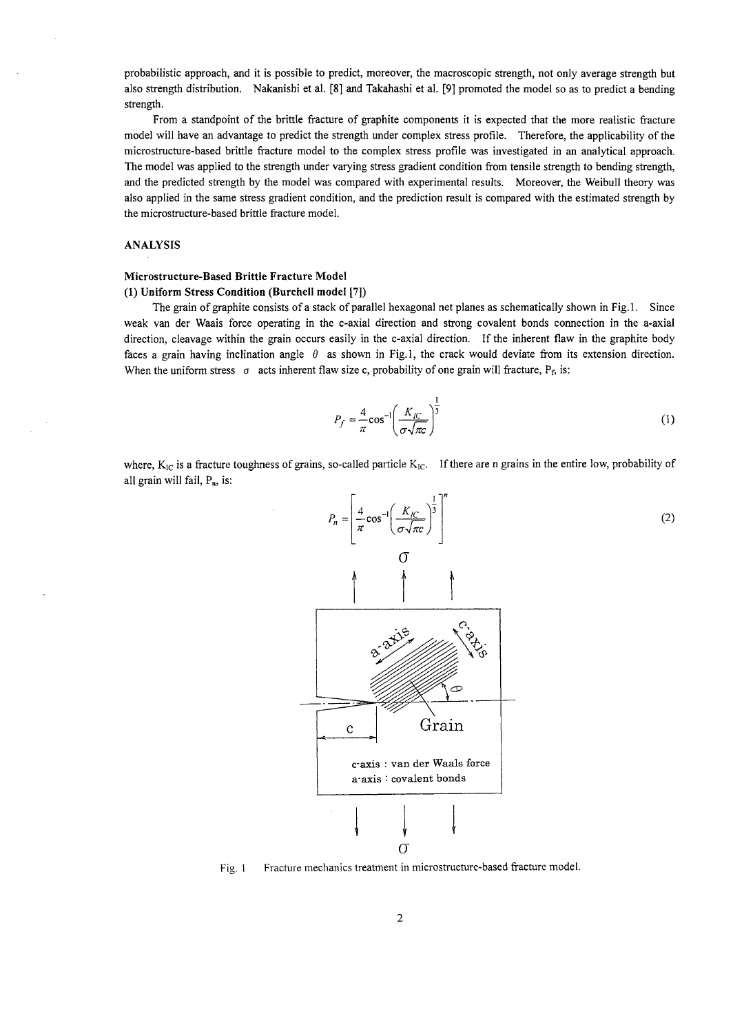probabilistic approach, and it is possible to predict, moreover, the macroscopic strength, not only average strength but also strength distribution. Nakanishi et al. [8] and Takahashi et al. [9] promoted the model so as to predict a bending strength.

From a standpoint of the brittle fracture of graphite components it is expected that the more realistic fracture model will have an advantage to predict the strength under complex stress profile. Therefore, the applicability of the microstructure-based brittle fracture model to the complex stress profile was investigated in an analytical approach. The model was applied to the strength under varying stress gradient condition from tensile strength to bending strength, and the predicted strength by the model was compared with experimental results. Moreover, the Weibull theory was also applied in the same stress gradient condition, and the prediction result is compared with the estimated strength by the microstructure-based brittle fracture model.

### ANALYSIS

#### **Microstructure-Based Brittle Fracture Model**

#### **(1) Uniform Stress Condition (Burcheli model [7])**

The grain of graphite consists of a stack of parallel hexagonal net planes as schematically shown in Fig. 1. Since weak van der Waais force operating in the c-axial direction and strong covalent bonds connection in the a-axial direction, cleavage within the grain occurs easily in the c-axial direction. If the inherent flaw in the graphite body faces a grain having inclination angle  $\theta$  as shown in Fig.1, the crack would deviate from its extension direction. When the uniform stress  $\sigma$  acts inherent flaw size c, probability of one grain will fracture,  $P_f$ , is:

$$
P_f = \frac{4}{\pi} \cos^{-1} \left( \frac{K_{IC}}{\sigma \sqrt{\pi c}} \right)^{\frac{1}{3}}
$$
 (1)

where,  $K_{IC}$  is a fracture toughness of grains, so-called particle  $K_{IC}$ . If there are n grains in the entire low, probability of all grain will fail,  $P_n$ , is:



Fig. 1 Fracture mechanics treatment in microstructure-based fracture model.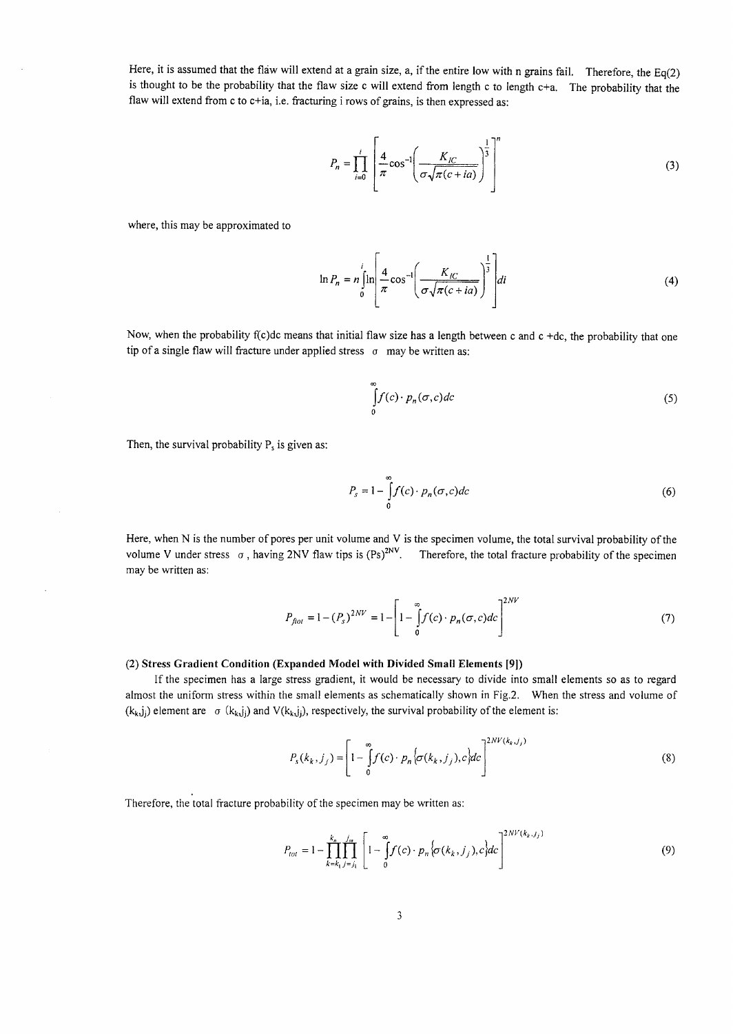Here, it is assumed that the flaw will extend at a grain size, a, if the entire low with n grains fail. Therefore, the  $Eq(2)$ is thought to be the probability that the flaw size c will extend from length c to length  $c+a$ . The probability that the flaw will extend from c to c+ia, i.e. fracturing i rows of grains, is then expressed as:

$$
P_n = \prod_{i=0}^{i} \left[ \frac{4}{\pi} \cos^{-1} \left( \frac{K_{IC}}{\sigma \sqrt{\pi (c + ia)}} \right)^{\frac{1}{3}} \right]^n
$$
 (3)

where, this may be approximated to

$$
\ln P_n = n \int_0^i \ln \left[ \frac{4}{\pi} \cos^{-1} \left( \frac{K_{\text{IC}}}{\sigma \sqrt{\pi (c + ia)}} \right)^{\frac{1}{3}} \right] di \tag{4}
$$

Now, when the probability f(c)dc means that initial flaw size has a length between c and  $c + dc$ , the probability that one tip of a single flaw will fracture under applied stress  $\sigma$  may be written as:

$$
\int_{0}^{\infty} f(c) \cdot p_n(\sigma, c) dc \tag{5}
$$

Then, the survival probability  $P_s$  is given as:

$$
P_s = 1 - \int_0^\infty f(c) \cdot p_n(\sigma, c) dc \tag{6}
$$

Here, when N is the number of pores per unit volume and V is the specimen volume, the total survival probability of the volume V under stress  $\sigma$ , having 2NV flaw tips is (Ps)<sup>2NV</sup>. Therefore, the total fracture probability of the specimen may be written as:

$$
P_{\text{float}} = 1 - (P_s)^{2NV} = 1 - \left[1 - \int_{0}^{\infty} f(c) \cdot p_n(\sigma, c) dc\right]^{2NV} \tag{7}
$$

#### (2) Stress Gradient Condition (Expanded Model with Divided Small Elements [9])

If the specimen has a large stress gradient, it would be necessary to divide into small elements so as to regard almost the uniform stress within the small elements as schematically shown in Fig.2. When the stress and volume of  $(k_k, j_i)$  element are  $\sigma$  ( $k_k, j_i$ ) and V( $k_k, j_i$ ), respectively, the survival probability of the element is:

$$
P_s(k_k, j_j) = \left[1 - \int_0^{\infty} f(c) \cdot p_n \left\{\sigma(k_k, j_j), c\right\} dc\right]^{2NV(k_k, j_j)}
$$
(8)

Therefore, the total fracture probability of the specimen may be written as:

$$
P_{tot} = 1 - \prod_{k=k_1}^{k_n} \prod_{j=j_1}^{j_m} \left[ 1 - \int_0^{\infty} f(c) \cdot p_n \left\{ \sigma(k_k, j_j), c \right\} dc \right]^{2NV(k_k, j_j)}
$$
(9)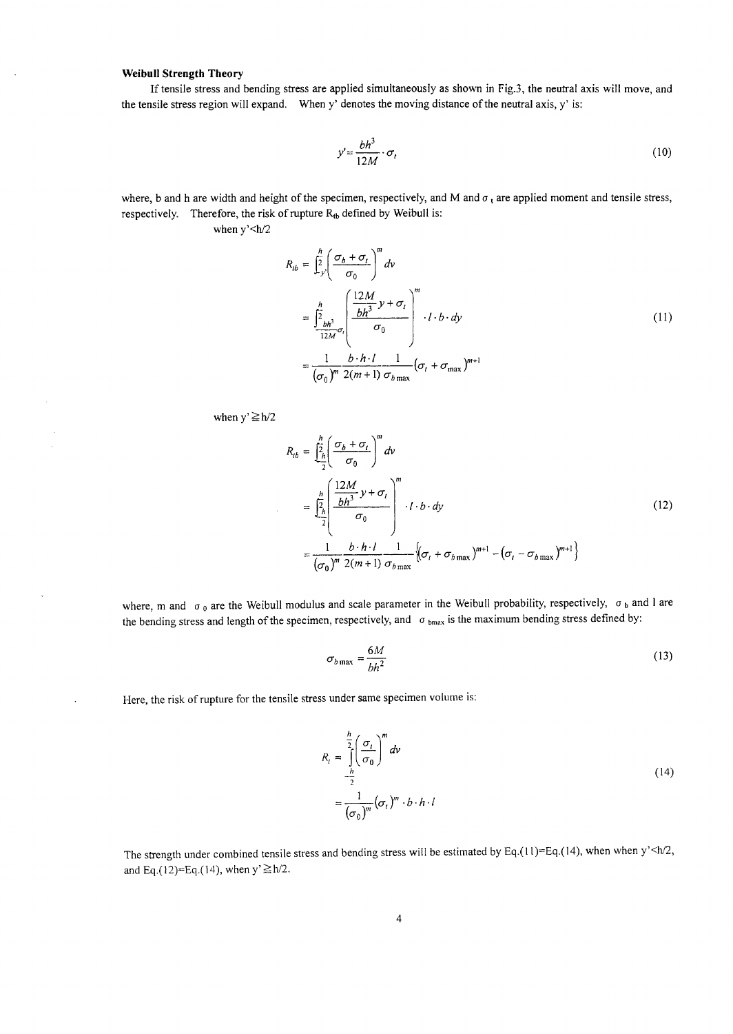### Weibull Strength Theory

If tensile stress and bending stress are applied simultaneously as shown in Fig.3, the neutral axis will move, and the tensile stress region will expand. When y' denotes the moving distance of the neutral axis, y' is:

$$
y' = \frac{bh^3}{12M} \cdot \sigma_t \tag{10}
$$

where, b and h are width and height of the specimen, respectively, and M and  $\sigma_t$  are applied moment and tensile stress, respectively. Therefore, the risk of rupture  $R_{tb}$  defined by Weibull is:

when  $y'$  <  $h/2$ 

$$
R_{tb} = \frac{\hbar}{2} \left( \frac{\sigma_b + \sigma_t}{\sigma_0} \right)^m dv
$$
  
\n
$$
= \frac{\hbar}{2} \frac{\hbar}{b h^3} \sigma_t \left( \frac{12M}{bh^3} y + \sigma_t \right)^m \cdot l \cdot b \cdot dy
$$
  
\n
$$
= \frac{1}{(\sigma_0)^m} \frac{b \cdot h \cdot l}{2(m+1)} \frac{1}{\sigma_{b \max}} (\sigma_t + \sigma_{\max})^{m+1}
$$
 (11)

when  $y' \ge h/2$ 

 $\mathcal{L}$ 

$$
R_{tb} = \frac{\int_{2h}^{h} \left(\frac{\sigma_b + \sigma_t}{\sigma_0}\right)^m dv}{\int_{2h}^{h} \left(\frac{12M}{\sigma_0} y + \sigma_t\right)^m} dv
$$
  
\n
$$
= \frac{\int_{2h}^{h} \left(\frac{12M}{\sigma_0} y + \sigma_t\right)^m \cdot l \cdot b \cdot dy}{\int_{2h}^{h} \left(\frac{\sigma_b + h \cdot l}{\sigma_0} y + \sigma_t\right)^m} \cdot l \cdot b \cdot dy
$$
\n
$$
= \frac{1}{\left(\sigma_0\right)^m} \frac{b \cdot h \cdot l}{2(m+1)} \frac{1}{\sigma_{b \max}} \left(\sigma_t + \sigma_{b \max}\right)^{m+1} - \left(\sigma_t - \sigma_{b \max}\right)^{m+1}\right)
$$
\n(12)

where, m and  $\sigma_0$  are the Weibull modulus and scale parameter in the Weibull probability, respectively,  $\sigma_b$  and l are the bending stress and length of the specimen, respectively, and  $\sigma_{bmax}$  is the maximum bending stress defined by:

$$
\sigma_{b\max} = \frac{6M}{bh^2} \tag{13}
$$

Here, the risk of rupture for the tensile stress under same specimen volume is:

$$
R_{t} = \frac{\sum_{h}^{h} \left(\frac{\sigma_{t}}{\sigma_{0}}\right)^{m} dv}{\sum_{i}^{h} \left(\frac{\sigma_{i}}{\sigma_{0}}\right)^{m} \cdot b \cdot h \cdot l}
$$
\n
$$
= \frac{1}{\left(\sigma_{0}\right)^{m}} \left(\sigma_{t}\right)^{m} \cdot b \cdot h \cdot l
$$
\n(14)

The strength under combined tensile stress and bending stress will be estimated by Eq.(11)=Eq.(14), when when  $y'$  <h/2, and Eq.(12)=Eq.(14), when  $y' \ge h/2$ .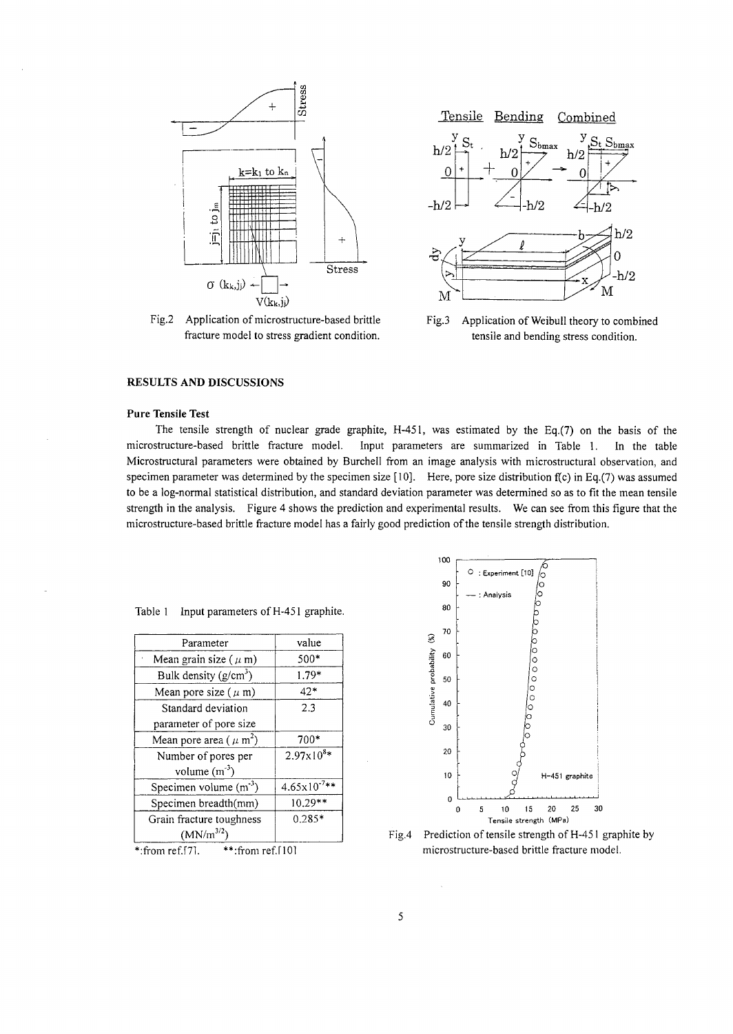

Fig.2 Application of microstructure-based brittle Fig.3 fracture model to stress gradient condition.



Application of Weibull theory to combined tensile and bending stress condition.

## **RESULTS AND DISCUSSIONS**

## **Pure Tensile Test**

The tensile strength of nuclear grade graphite, H-451, was estimated by the Eq.(7) on the basis of the microstructure-based brittle fracture model. Input parameters are summarized in Table 1. In the table Microstructural parameters were obtained by BurcheI1 from an image analysis with microstructural observation, and specimen parameter was determined by the specimen size [ 10]. Here, pore size distribution f(c) in Eq.(7) was assumed to be a log-normal statistical distribution, and standard deviation parameter was determined so as to fit the mean tensile strength in the analysis. Figure 4 shows the prediction and experimental results. We can see from this figure that the microstructure-based brittle fracture model has a fairly good prediction of the tensile strength distribution.

| Table 1 |  | Input parameters of H-451 graphite. |  |  |
|---------|--|-------------------------------------|--|--|
|---------|--|-------------------------------------|--|--|

| Parameter                               | value                    |
|-----------------------------------------|--------------------------|
| Mean grain size ( $\mu$ m)              | 500*                     |
| Bulk density $(g/cm^3)$                 | 1.79*                    |
| Mean pore size $(\mu m)$                | $42*$                    |
| Standard deviation                      | 2.3                      |
| parameter of pore size                  |                          |
| Mean pore area ( $\mu$ m <sup>2</sup> ) | 700*                     |
| Number of pores per                     | $2.97 \times 10^{8*}$    |
| volume $(m^{-3})$                       |                          |
| Specimen volume $(m-3)$                 | $4.65 \times 10^{-7}$ ** |
| Specimen breadth(mm)                    | $10.29**$                |
| Grain fracture toughness                | $0.285*$                 |
| $(MN/m^{3/2})$                          |                          |
|                                         |                          |





Fig.4 Prediction of tensile strength of H-451 graphite by microstructure-based brittle fracture model.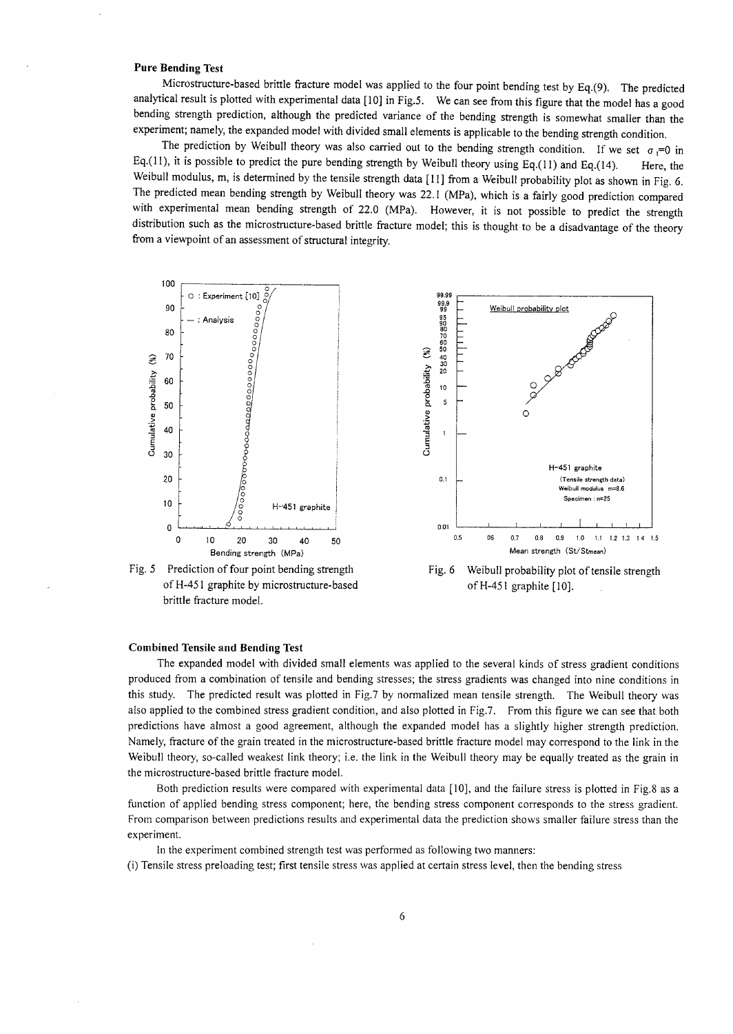### **Pure Bending Test**

Microstructure-based brittle fracture model was applied to the four point bending test by Eq.(9). The predicted analytical result is plotted with experimental data [ 10] in Fig.5. We can see from this figure that the model has a good bending strength prediction, although the predicted variance of the bending strength is somewhat smaller than the experiment; namely, the expanded model with divided small elements is applicable to the bending strength condition.

The prediction by Weibull theory was also carried out to the bending strength condition. If we set  $\sigma_t=0$  in Eq.(11), it is possible to predict the pure bending strength by Weibull theory using Eq.(11) and Eq.(14). Here, the Weibull modulus, m, is determined by the tensile strength data [11] from a Weibull probability plot as shown in Fig. 6. The predicted mean bending strength by Weibull theory was 22.1 (MPa), which is a fairly good prediction compared with experimental mean bending strength of 22.0 (MPa). However, it is not possible to predict the strength distribution such as the microstructure-based brittle fracture model; this is thought to be a disadvantage of the theory from a viewpoint of an assessment of structural integrity.



#### **Combined Tensile and Bending Test**

The expanded model with divided small elements was applied to the several kinds of stress gradient conditions produced from a combination of tensile and bending stresses; the stress gradients was changed into nine conditions in this study. The predicted result was plotted in Fig.7 by normalized mean tensile strength. The Weibull theory was also applied to the combined stress gradient condition, and also plotted in Fig.7. From this figure we can see that both predictions have almost a good agreement, although the expanded model has a slightly higher strength prediction. Namely, fracture of the grain treated in the microstructure-based brittle fracture model may correspond to the link in the Weibull theory, so-called weakest link theory; i.e. the link in the Weibull theory may be equally treated as the grain in the microstructure-based brittle fracture model.

Both prediction results were compared with experimental data [10], and the failure stress is plotted in Fig.8 as a function of applied bending stress component; here, the bending stress component corresponds to the stress gradient. From comparison between predictions results and experimental data the prediction shows smaller failure stress than the experiment.

In the experiment combined strength test was performed as following two manners:

(i) Tensile stress preloading test; first tensile stress was applied at certain stress level, then the bending stress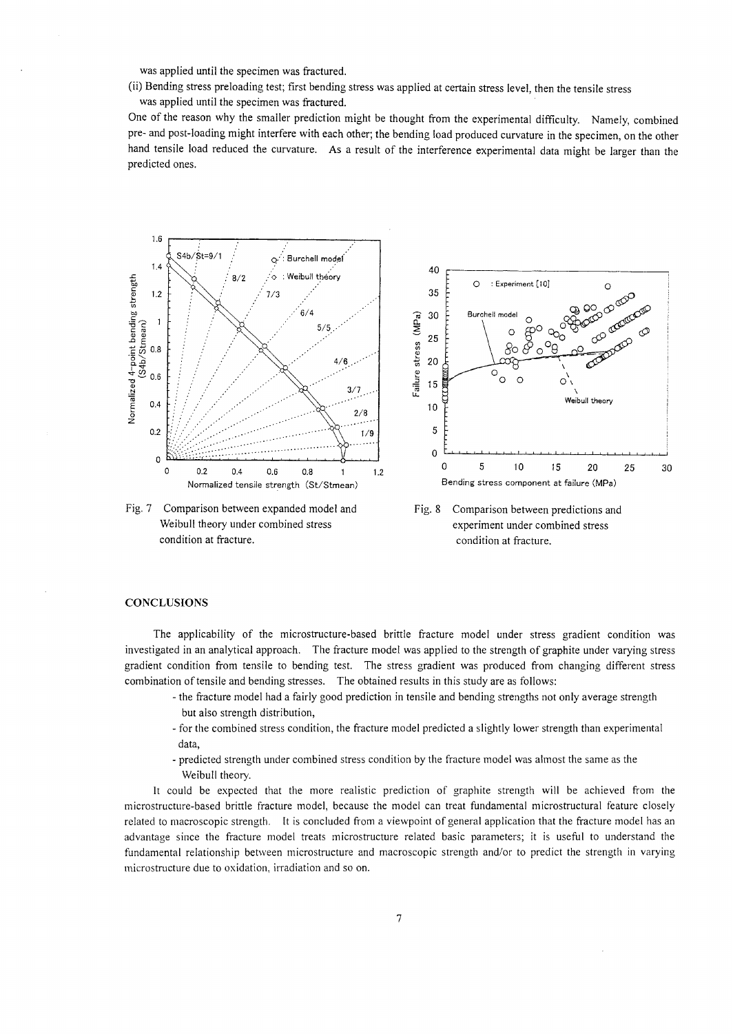was applied until the specimen was fractured.

(ii) Bending stress preloading test; first bending stress was applied at certain stress level, then the tensile stress

was applied until the specimen was fractured.

One of the reason why the smaller prediction might be thought from the experimental difficulty. Namely, combined pre- and post-loading might interfere with each other; the bending load produced curvature in the specimen, on the other hand tensile load reduced the curvature. As a result of the interference experimental data might be larger than the predicted ones.



Fig. 7 Comparison between expanded model and Weibull theory under combined stress condition at fracture.





#### **CONCLUSIONS**

The applicability of the microstructure-based brittle fracture model under stress gradient condition was investigated in an analytical approach. The fracture model was applied to the strength of graphite under varying stress gradient condition from tensile to bending test. The stress gradient was produced from changing different stress combination of tensile and bending stresses. The obtained results in this study are as follows:

- the fracture model had a fairly good prediction in tensile and bending strengths not only average strength but also strength distribution,
- for the combined stress condition, the fracture model predicted a slightly lower strength than experimental data,
- predicted strength under combined stress condition by the fracture model was almost the same as the Weibull theory.

It could be expected that the more realistic prediction of graphite strength will be achieved from the microstructure-based brittle fracture model, because the model can treat fundamental microstructural feature closely related to macroscopic strength. It is concluded from a viewpoint of general application that the fracture model has an advantage since the fracture model treats microstructure related basic parameters; it is useful to understand the fundamental relationship between microstructure and macroscopic strength and/or to predict the strength in varying microstructure due to oxidation, irradiation and so on.